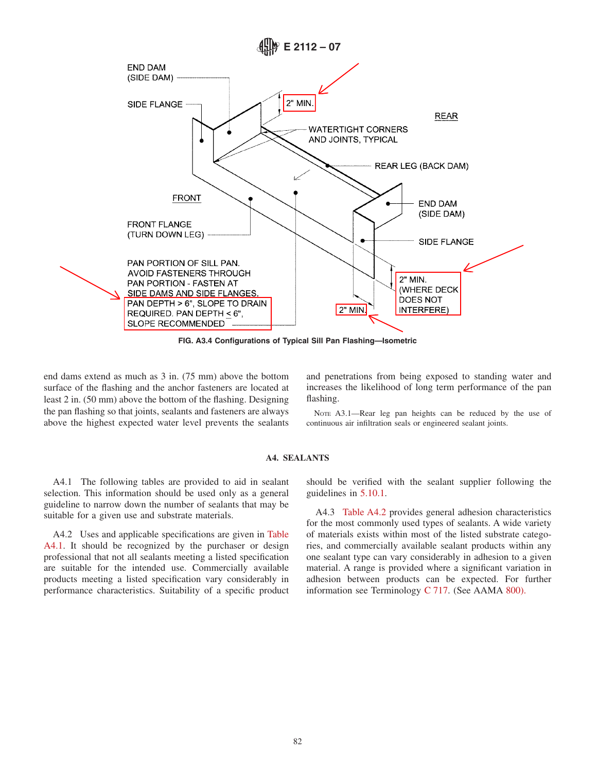

**FIG. A3.4 Configurations of Typical Sill Pan Flashing—Isometric**

end dams extend as much as 3 in. (75 mm) above the bottom surface of the flashing and the anchor fasteners are located at least 2 in. (50 mm) above the bottom of the flashing. Designing the pan flashing so that joints, sealants and fasteners are always above the highest expected water level prevents the sealants and penetrations from being exposed to standing water and increases the likelihood of long term performance of the pan flashing.

NOTE A3.1—Rear leg pan heights can be reduced by the use of continuous air infiltration seals or engineered sealant joints.

## **A4. SEALANTS**

A4.1 The following tables are provided to aid in sealant selection. This information should be used only as a general guideline to narrow down the number of sealants that may be suitable for a given use and substrate materials.

A4.2 Uses and applicable specifications are given in Table A4.1. It should be recognized by the purchaser or design professional that not all sealants meeting a listed specification are suitable for the intended use. Commercially available products meeting a listed specification vary considerably in performance characteristics. Suitability of a specific product should be verified with the sealant supplier following the guidelines in 5.10.1.

A4.3 Table A4.2 provides general adhesion characteristics for the most commonly used types of sealants. A wide variety of materials exists within most of the listed substrate categories, and commercially available sealant products within any one sealant type can vary considerably in adhesion to a given material. A range is provided where a significant variation in adhesion between products can be expected. For further information see Terminology C 717. (See AAMA 800).